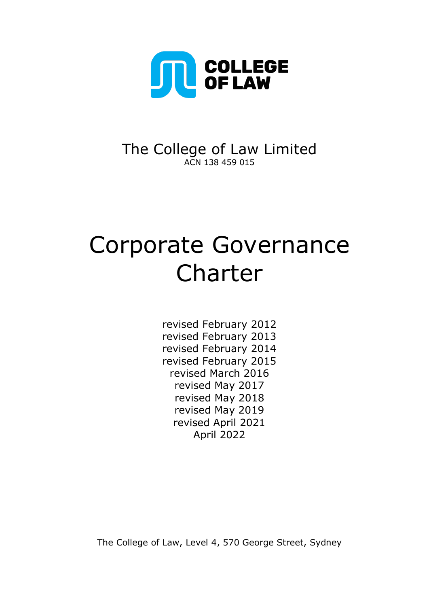

# The College of Law Limited ACN 138 459 015

# Corporate Governance Charter

revised February 2012 revised February 2013 revised February 2014 revised February 2015 revised March 2016 revised May 2017 revised May 2018 revised May 2019 revised April 2021 April 2022

The College of Law, Level 4, 570 George Street, Sydney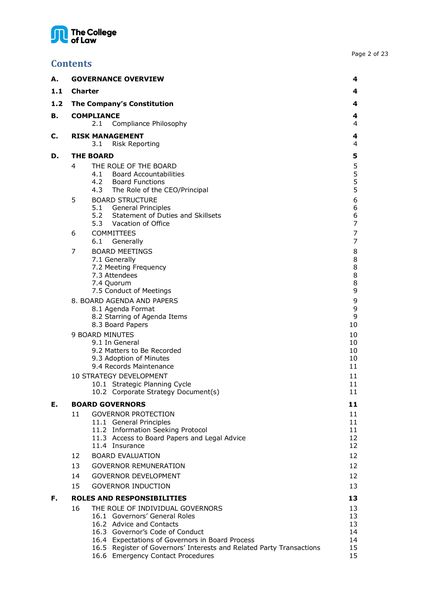# The College<br>of Law

| <b>Contents</b>                                                                   |             |
|-----------------------------------------------------------------------------------|-------------|
| <b>GOVERNANCE OVERVIEW</b><br>А.                                                  | 4           |
| 1.1<br><b>Charter</b>                                                             | 4           |
| 1.2<br>The Company's Constitution                                                 | 4           |
| В.<br><b>COMPLIANCE</b>                                                           | 4           |
| Compliance Philosophy<br>2.1                                                      | 4           |
| <b>RISK MANAGEMENT</b><br>C.<br>3.1<br><b>Risk Reporting</b>                      | 4<br>4      |
| <b>THE BOARD</b><br>D.                                                            | 5           |
| THE ROLE OF THE BOARD<br>4                                                        | 5           |
| 4.1<br><b>Board Accountabilities</b>                                              |             |
| 4.2<br><b>Board Functions</b><br>4.3<br>The Role of the CEO/Principal             | 5<br>5<br>5 |
| 5<br><b>BOARD STRUCTURE</b>                                                       | 6           |
| 5.1<br>General Principles                                                         | 6           |
| 5.2<br>Statement of Duties and Skillsets                                          | 6           |
| 5.3 Vacation of Office                                                            | 7           |
| <b>COMMITTEES</b><br>6                                                            | 7           |
| 6.1<br>Generally                                                                  | 7           |
| <b>BOARD MEETINGS</b><br>7<br>7.1 Generally                                       | 8<br>8      |
| 7.2 Meeting Frequency                                                             | 8           |
| 7.3 Attendees                                                                     | 8           |
| 7.4 Quorum                                                                        | 8           |
| 7.5 Conduct of Meetings                                                           | 9           |
| 8. BOARD AGENDA AND PAPERS<br>8.1 Agenda Format                                   | 9<br>9      |
| 8.2 Starring of Agenda Items                                                      | 9           |
| 8.3 Board Papers                                                                  | 10          |
| 9 BOARD MINUTES                                                                   | 10          |
| 9.1 In General                                                                    | 10          |
| 9.2 Matters to Be Recorded<br>9.3 Adoption of Minutes                             | 10<br>10    |
| 9.4 Records Maintenance                                                           | 11          |
| 10 STRATEGY DEVELOPMENT                                                           | 11          |
| 10.1 Strategic Planning Cycle                                                     | 11          |
| 10.2 Corporate Strategy Document(s)                                               | 11          |
| Е.<br><b>BOARD GOVERNORS</b>                                                      | 11          |
| 11<br><b>GOVERNOR PROTECTION</b>                                                  | 11          |
| 11.1 General Principles                                                           | 11          |
| 11.2 Information Seeking Protocol<br>11.3 Access to Board Papers and Legal Advice | 11<br>12    |
| 11.4 Insurance                                                                    | 12          |
| 12<br><b>BOARD EVALUATION</b>                                                     | 12          |
| <b>GOVERNOR REMUNERATION</b><br>13                                                | 12          |
| 14<br><b>GOVERNOR DEVELOPMENT</b>                                                 | 12          |
| 15<br><b>GOVERNOR INDUCTION</b>                                                   | 13          |

# **F. [ROLES AND RESPONSIBILITIES](#page-12-1) 13** 16 THE ROLE OF INDIVIDUAL GOVFRNORS

| 6. | THE ROLE OF INDIVIDUAL GOVERNORS                                     |    |
|----|----------------------------------------------------------------------|----|
|    | 16.1 Governors' General Roles                                        | 13 |
|    | 16.2 Advice and Contacts                                             | 13 |
|    | 16.3 Governor's Code of Conduct                                      | 14 |
|    | 16.4 Expectations of Governors in Board Process                      | 14 |
|    | 16.5 Register of Governors' Interests and Related Party Transactions | 15 |
|    | 16.6 Emergency Contact Procedures                                    | 15 |
|    |                                                                      |    |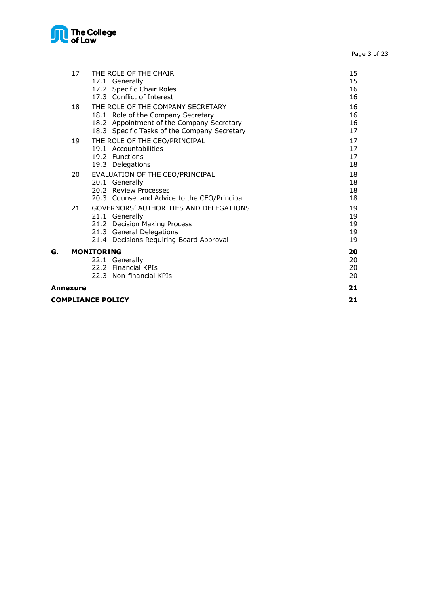

Page 3 of 23

|    | 17       | THE ROLE OF THE CHAIR                                                           | 15       |
|----|----------|---------------------------------------------------------------------------------|----------|
|    |          | 17.1 Generally                                                                  | 15       |
|    |          | 17.2 Specific Chair Roles<br>17.3 Conflict of Interest                          | 16<br>16 |
|    |          |                                                                                 |          |
|    | 18       | THE ROLE OF THE COMPANY SECRETARY                                               | 16<br>16 |
|    |          | 18.1 Role of the Company Secretary<br>18.2 Appointment of the Company Secretary | 16       |
|    |          | 18.3 Specific Tasks of the Company Secretary                                    | 17       |
|    | 19       | THE ROLE OF THE CEO/PRINCIPAL                                                   | 17       |
|    |          | 19.1 Accountabilities                                                           | 17       |
|    |          | 19.2 Functions                                                                  | 17       |
|    |          | 19.3 Delegations                                                                | 18       |
|    | 20       | EVALUATION OF THE CEO/PRINCIPAL                                                 | 18       |
|    |          | 20.1 Generally                                                                  | 18       |
|    |          | 20.2 Review Processes                                                           | 18       |
|    |          | 20.3 Counsel and Advice to the CEO/Principal                                    | 18       |
|    | 21       | GOVERNORS' AUTHORITIES AND DELEGATIONS                                          | 19       |
|    |          | 21.1 Generally                                                                  | 19       |
|    |          | 21.2 Decision Making Process                                                    | 19       |
|    |          | 21.3 General Delegations                                                        | 19<br>19 |
|    |          | 21.4 Decisions Requiring Board Approval                                         |          |
| G. |          | <b>MONITORING</b>                                                               | 20       |
|    |          | 22.1 Generally                                                                  | 20       |
|    |          | 22.2 Financial KPIs<br>22.3 Non-financial KPIs                                  | 20<br>20 |
|    |          |                                                                                 |          |
|    | Annexure |                                                                                 | 21       |
|    |          | <b>COMPLIANCE POLICY</b>                                                        | 21       |
|    |          |                                                                                 |          |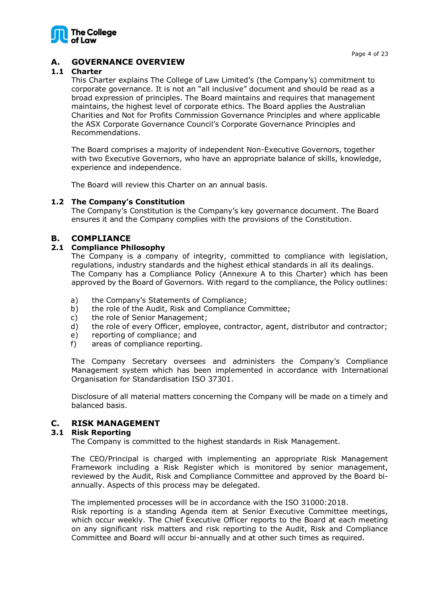

# <span id="page-3-0"></span>**A. GOVERNANCE OVERVIEW**

# <span id="page-3-1"></span>**1.1 Charter**

This Charter explains The College of Law Limited's (the Company's) commitment to corporate governance. It is not an "all inclusive" document and should be read as a broad expression of principles. The Board maintains and requires that management maintains, the highest level of corporate ethics. The Board applies the Australian Charities and Not for Profits Commission Governance Principles and where applicable the ASX Corporate Governance Council's Corporate Governance Principles and Recommendations.

The Board comprises a majority of independent Non-Executive Governors, together with two Executive Governors, who have an appropriate balance of skills, knowledge, experience and independence.

The Board will review this Charter on an annual basis.

# <span id="page-3-2"></span>**1.2 The Company's Constitution**

The Company's Constitution is the Company's key governance document. The Board ensures it and the Company complies with the provisions of the Constitution.

# <span id="page-3-3"></span>**B. COMPLIANCE**

# <span id="page-3-4"></span>**2.1 Compliance Philosophy**

The Company is a company of integrity, committed to compliance with legislation, regulations, industry standards and the highest ethical standards in all its dealings. The Company has a Compliance Policy (Annexure A to this Charter) which has been approved by the Board of Governors. With regard to the compliance, the Policy outlines:

- a) the Company's Statements of Compliance;
- b) the role of the Audit, Risk and Compliance Committee;
- c) the role of Senior Management;
- d) the role of every Officer, employee, contractor, agent, distributor and contractor;
- e) reporting of compliance; and
- f) areas of compliance reporting.

The Company Secretary oversees and administers the Company's Compliance Management system which has been implemented in accordance with International Organisation for Standardisation ISO 37301.

Disclosure of all material matters concerning the Company will be made on a timely and balanced basis.

# <span id="page-3-5"></span>**C. RISK MANAGEMENT**

# <span id="page-3-6"></span>**3.1 Risk Reporting**

The Company is committed to the highest standards in Risk Management.

The CEO/Principal is charged with implementing an appropriate Risk Management Framework including a Risk Register which is monitored by senior management, reviewed by the Audit, Risk and Compliance Committee and approved by the Board biannually. Aspects of this process may be delegated.

The implemented processes will be in accordance with the ISO 31000:2018. Risk reporting is a standing Agenda item at Senior Executive Committee meetings,

which occur weekly. The Chief Executive Officer reports to the Board at each meeting on any significant risk matters and risk reporting to the Audit, Risk and Compliance Committee and Board will occur bi-annually and at other such times as required.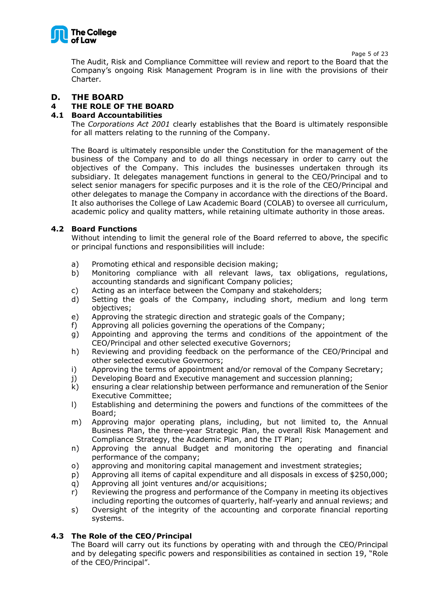

Page 5 of 23

The Audit, Risk and Compliance Committee will review and report to the Board that the Company's ongoing Risk Management Program is in line with the provisions of their Charter.

# <span id="page-4-0"></span>**D. THE BOARD**

# <span id="page-4-1"></span>**4 THE ROLE OF THE BOARD**

# <span id="page-4-2"></span>**4.1 Board Accountabilities**

The *Corporations Act 2001* clearly establishes that the Board is ultimately responsible for all matters relating to the running of the Company.

The Board is ultimately responsible under the Constitution for the management of the business of the Company and to do all things necessary in order to carry out the objectives of the Company. This includes the businesses undertaken through its subsidiary. It delegates management functions in general to the CEO/Principal and to select senior managers for specific purposes and it is the role of the CEO/Principal and other delegates to manage the Company in accordance with the directions of the Board. It also authorises the College of Law Academic Board (COLAB) to oversee all curriculum, academic policy and quality matters, while retaining ultimate authority in those areas.

# <span id="page-4-3"></span>**4.2 Board Functions**

Without intending to limit the general role of the Board referred to above, the specific or principal functions and responsibilities will include:

- a) Promoting ethical and responsible decision making;
- b) Monitoring compliance with all relevant laws, tax obligations, regulations, accounting standards and significant Company policies;
- c) Acting as an interface between the Company and stakeholders;
- d) Setting the goals of the Company, including short, medium and long term objectives;
- e) Approving the strategic direction and strategic goals of the Company;
- f) Approving all policies governing the operations of the Company;
- g) Appointing and approving the terms and conditions of the appointment of the CEO/Principal and other selected executive Governors;
- h) Reviewing and providing feedback on the performance of the CEO/Principal and other selected executive Governors;
- i) Approving the terms of appointment and/or removal of the Company Secretary;
- j) Developing Board and Executive management and succession planning;
- k) ensuring a clear relationship between performance and remuneration of the Senior Executive Committee;
- l) Establishing and determining the powers and functions of the committees of the Board;
- m) Approving major operating plans, including, but not limited to, the Annual Business Plan, the three-year Strategic Plan, the overall Risk Management and Compliance Strategy, the Academic Plan, and the IT Plan;
- n) Approving the annual Budget and monitoring the operating and financial performance of the company;
- o) approving and monitoring capital management and investment strategies;
- p) Approving all items of capital expenditure and all disposals in excess of \$250,000;
- q) Approving all joint ventures and/or acquisitions;
- r) Reviewing the progress and performance of the Company in meeting its objectives including reporting the outcomes of quarterly, half-yearly and annual reviews; and
- s) Oversight of the integrity of the accounting and corporate financial reporting systems.

# <span id="page-4-4"></span>**4.3 The Role of the CEO/Principal**

The Board will carry out its functions by operating with and through the CEO/Principal and by delegating specific powers and responsibilities as contained in section 19, "Role of the CEO/Principal".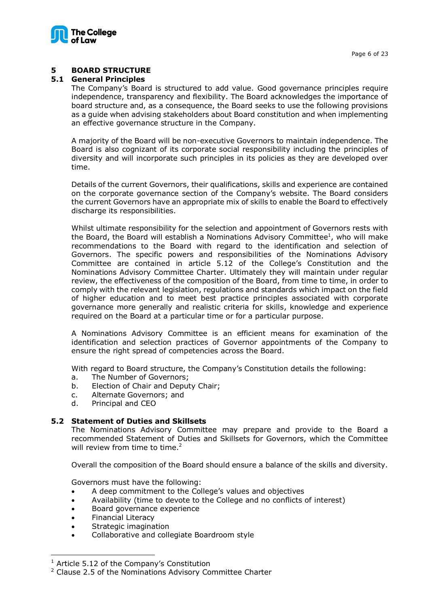

# <span id="page-5-0"></span>**5 BOARD STRUCTURE**

#### <span id="page-5-1"></span>**5.1 General Principles**

The Company's Board is structured to add value. Good governance principles require independence, transparency and flexibility. The Board acknowledges the importance of board structure and, as a consequence, the Board seeks to use the following provisions as a guide when advising stakeholders about Board constitution and when implementing an effective governance structure in the Company.

A majority of the Board will be non-executive Governors to maintain independence. The Board is also cognizant of its corporate social responsibility including the principles of diversity and will incorporate such principles in its policies as they are developed over time.

Details of the current Governors, their qualifications, skills and experience are contained on the corporate governance section of the Company's website. The Board considers the current Governors have an appropriate mix of skills to enable the Board to effectively discharge its responsibilities.

Whilst ultimate responsibility for the selection and appointment of Governors rests with the Board, the Board will establish a Nominations Advisory Committee<sup>1</sup>, who will make recommendations to the Board with regard to the identification and selection of Governors. The specific powers and responsibilities of the Nominations Advisory Committee are contained in article 5.12 of the College's Constitution and the Nominations Advisory Committee Charter. Ultimately they will maintain under regular review, the effectiveness of the composition of the Board, from time to time, in order to comply with the relevant legislation, regulations and standards which impact on the field of higher education and to meet best practice principles associated with corporate governance more generally and realistic criteria for skills, knowledge and experience required on the Board at a particular time or for a particular purpose.

A Nominations Advisory Committee is an efficient means for examination of the identification and selection practices of Governor appointments of the Company to ensure the right spread of competencies across the Board.

With regard to Board structure, the Company's Constitution details the following:

- a. The Number of Governors;
- b. Election of Chair and Deputy Chair;
- c. Alternate Governors; and
- d. Principal and CEO

# <span id="page-5-2"></span>**5.2 Statement of Duties and Skillsets**

The Nominations Advisory Committee may prepare and provide to the Board a recommended Statement of Duties and Skillsets for Governors, which the Committee will review from time to time.<sup>2</sup>

Overall the composition of the Board should ensure a balance of the skills and diversity.

Governors must have the following:

- A deep commitment to the College's values and objectives
- Availability (time to devote to the College and no conflicts of interest)
- Board governance experience
- Financial Literacy
- Strategic imagination
- Collaborative and collegiate Boardroom style

 $1$  Article 5.12 of the Company's Constitution

<sup>2</sup> Clause 2.5 of the Nominations Advisory Committee Charter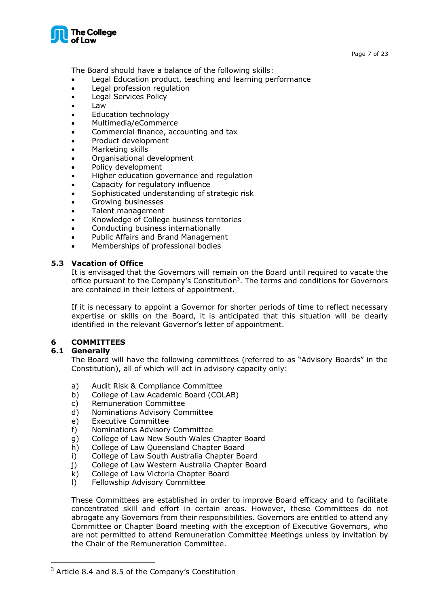

The Board should have a balance of the following skills:

- Legal Education product, teaching and learning performance
- Legal profession regulation
- Legal Services Policy
- Law
- Education technology
- Multimedia/eCommerce
- Commercial finance, accounting and tax
- Product development
- Marketing skills
- Organisational development
- Policy development
- Higher education governance and regulation
- Capacity for regulatory influence
- Sophisticated understanding of strategic risk
- Growing businesses
- Talent management
- Knowledge of College business territories
- Conducting business internationally
- Public Affairs and Brand Management
- Memberships of professional bodies

# <span id="page-6-0"></span>**5.3 Vacation of Office**

It is envisaged that the Governors will remain on the Board until required to vacate the office pursuant to the Company's Constitution<sup>3</sup>. The terms and conditions for Governors are contained in their letters of appointment.

If it is necessary to appoint a Governor for shorter periods of time to reflect necessary expertise or skills on the Board, it is anticipated that this situation will be clearly identified in the relevant Governor's letter of appointment.

# <span id="page-6-1"></span>**6 COMMITTEES**

# <span id="page-6-2"></span>**6.1 Generally**

The Board will have the following committees (referred to as "Advisory Boards" in the Constitution), all of which will act in advisory capacity only:

- a) Audit Risk & Compliance Committee
- b) College of Law Academic Board (COLAB)
- c) Remuneration Committee
- d) Nominations Advisory Committee
- e) Executive Committee
- f) Nominations Advisory Committee
- g) College of Law New South Wales Chapter Board
- h) College of Law Queensland Chapter Board
- i) College of Law South Australia Chapter Board
- j) College of Law Western Australia Chapter Board
- k) College of Law Victoria Chapter Board
- l) Fellowship Advisory Committee

These Committees are established in order to improve Board efficacy and to facilitate concentrated skill and effort in certain areas. However, these Committees do not abrogate any Governors from their responsibilities. Governors are entitled to attend any Committee or Chapter Board meeting with the exception of Executive Governors, who are not permitted to attend Remuneration Committee Meetings unless by invitation by the Chair of the Remuneration Committee.

 $3$  Article 8.4 and 8.5 of the Company's Constitution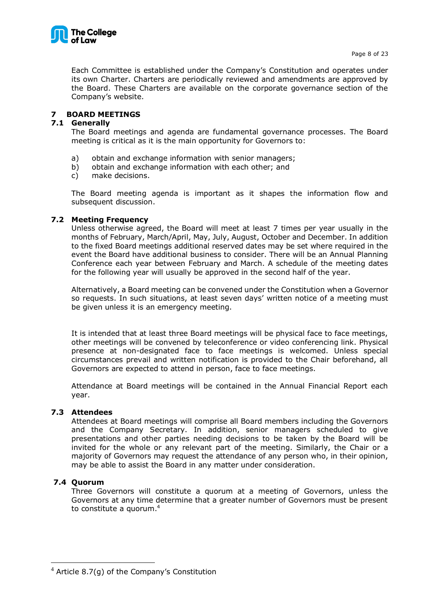

Each Committee is established under the Company's Constitution and operates under its own Charter. Charters are periodically reviewed and amendments are approved by the Board. These Charters are available on the corporate governance section of the Company's website.

# <span id="page-7-0"></span>**7 BOARD MEETINGS**

# <span id="page-7-1"></span>**7.1 Generally**

The Board meetings and agenda are fundamental governance processes. The Board meeting is critical as it is the main opportunity for Governors to:

- a) obtain and exchange information with senior managers;
- b) obtain and exchange information with each other; and
- c) make decisions.

The Board meeting agenda is important as it shapes the information flow and subsequent discussion.

# <span id="page-7-2"></span>**7.2 Meeting Frequency**

Unless otherwise agreed, the Board will meet at least 7 times per year usually in the months of February, March/April, May, July, August, October and December. In addition to the fixed Board meetings additional reserved dates may be set where required in the event the Board have additional business to consider. There will be an Annual Planning Conference each year between February and March. A schedule of the meeting dates for the following year will usually be approved in the second half of the year.

Alternatively, a Board meeting can be convened under the Constitution when a Governor so requests. In such situations, at least seven days' written notice of a meeting must be given unless it is an emergency meeting.

It is intended that at least three Board meetings will be physical face to face meetings, other meetings will be convened by teleconference or video conferencing link. Physical presence at non-designated face to face meetings is welcomed. Unless special circumstances prevail and written notification is provided to the Chair beforehand, all Governors are expected to attend in person, face to face meetings.

Attendance at Board meetings will be contained in the Annual Financial Report each year.

# <span id="page-7-3"></span>**7.3 Attendees**

Attendees at Board meetings will comprise all Board members including the Governors and the Company Secretary. In addition, senior managers scheduled to give presentations and other parties needing decisions to be taken by the Board will be invited for the whole or any relevant part of the meeting. Similarly, the Chair or a majority of Governors may request the attendance of any person who, in their opinion, may be able to assist the Board in any matter under consideration.

# <span id="page-7-4"></span>**7.4 Quorum**

Three Governors will constitute a quorum at a meeting of Governors, unless the Governors at any time determine that a greater number of Governors must be present to constitute a quorum. 4

 $4$  Article 8.7(g) of the Company's Constitution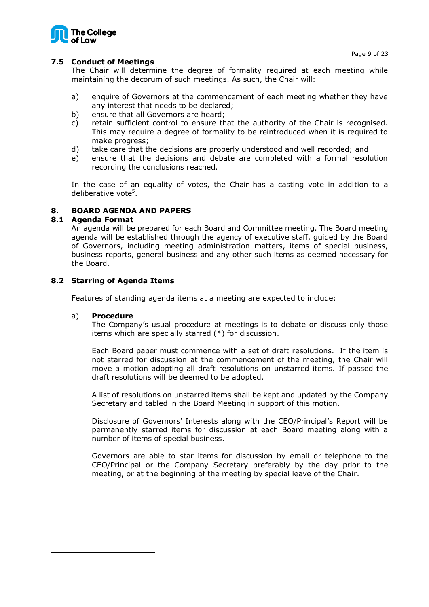



# <span id="page-8-0"></span>**7.5 Conduct of Meetings**

The Chair will determine the degree of formality required at each meeting while maintaining the decorum of such meetings. As such, the Chair will:

- a) enquire of Governors at the commencement of each meeting whether they have any interest that needs to be declared;
- b) ensure that all Governors are heard;
- c) retain sufficient control to ensure that the authority of the Chair is recognised. This may require a degree of formality to be reintroduced when it is required to make progress;
- d) take care that the decisions are properly understood and well recorded; and
- e) ensure that the decisions and debate are completed with a formal resolution recording the conclusions reached.

In the case of an equality of votes, the Chair has a casting vote in addition to a deliberative vote<sup>5</sup>.

# <span id="page-8-1"></span>**8. BOARD AGENDA AND PAPERS**

# <span id="page-8-2"></span>**8.1 Agenda Format**

An agenda will be prepared for each Board and Committee meeting. The Board meeting agenda will be established through the agency of executive staff, guided by the Board of Governors, including meeting administration matters, items of special business, business reports, general business and any other such items as deemed necessary for the Board.

# <span id="page-8-3"></span>**8.2 Starring of Agenda Items**

Features of standing agenda items at a meeting are expected to include:

# a) **Procedure**

The Company's usual procedure at meetings is to debate or discuss only those items which are specially starred (\*) for discussion.

Each Board paper must commence with a set of draft resolutions. If the item is not starred for discussion at the commencement of the meeting, the Chair will move a motion adopting all draft resolutions on unstarred items. If passed the draft resolutions will be deemed to be adopted.

A list of resolutions on unstarred items shall be kept and updated by the Company Secretary and tabled in the Board Meeting in support of this motion.

Disclosure of Governors' Interests along with the CEO/Principal's Report will be permanently starred items for discussion at each Board meeting along with a number of items of special business.

Governors are able to star items for discussion by email or telephone to the CEO/Principal or the Company Secretary preferably by the day prior to the meeting, or at the beginning of the meeting by special leave of the Chair.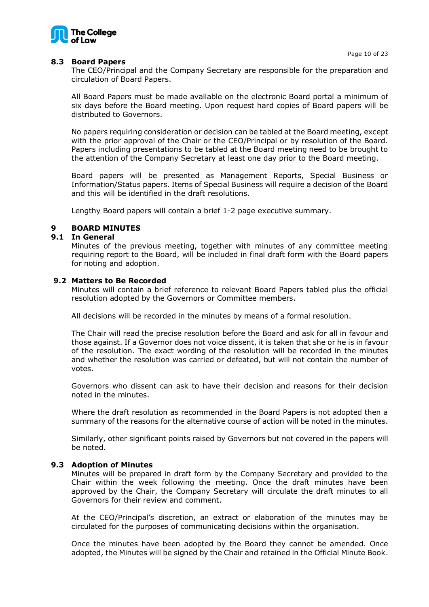Page 10 of 23



# <span id="page-9-0"></span>**8.3 Board Papers**

The CEO/Principal and the Company Secretary are responsible for the preparation and circulation of Board Papers.

All Board Papers must be made available on the electronic Board portal a minimum of six days before the Board meeting. Upon request hard copies of Board papers will be distributed to Governors.

No papers requiring consideration or decision can be tabled at the Board meeting, except with the prior approval of the Chair or the CEO/Principal or by resolution of the Board. Papers including presentations to be tabled at the Board meeting need to be brought to the attention of the Company Secretary at least one day prior to the Board meeting.

Board papers will be presented as Management Reports, Special Business or Information/Status papers. Items of Special Business will require a decision of the Board and this will be identified in the draft resolutions.

Lengthy Board papers will contain a brief 1-2 page executive summary.

# <span id="page-9-1"></span>**9 BOARD MINUTES**

# <span id="page-9-2"></span>**9.1 In General**

Minutes of the previous meeting, together with minutes of any committee meeting requiring report to the Board, will be included in final draft form with the Board papers for noting and adoption.

#### <span id="page-9-3"></span>**9.2 Matters to Be Recorded**

Minutes will contain a brief reference to relevant Board Papers tabled plus the official resolution adopted by the Governors or Committee members.

All decisions will be recorded in the minutes by means of a formal resolution.

The Chair will read the precise resolution before the Board and ask for all in favour and those against. If a Governor does not voice dissent, it is taken that she or he is in favour of the resolution. The exact wording of the resolution will be recorded in the minutes and whether the resolution was carried or defeated, but will not contain the number of votes.

Governors who dissent can ask to have their decision and reasons for their decision noted in the minutes.

Where the draft resolution as recommended in the Board Papers is not adopted then a summary of the reasons for the alternative course of action will be noted in the minutes.

Similarly, other significant points raised by Governors but not covered in the papers will be noted.

# <span id="page-9-4"></span>**9.3 Adoption of Minutes**

Minutes will be prepared in draft form by the Company Secretary and provided to the Chair within the week following the meeting. Once the draft minutes have been approved by the Chair, the Company Secretary will circulate the draft minutes to all Governors for their review and comment.

At the CEO/Principal's discretion, an extract or elaboration of the minutes may be circulated for the purposes of communicating decisions within the organisation.

Once the minutes have been adopted by the Board they cannot be amended. Once adopted, the Minutes will be signed by the Chair and retained in the Official Minute Book.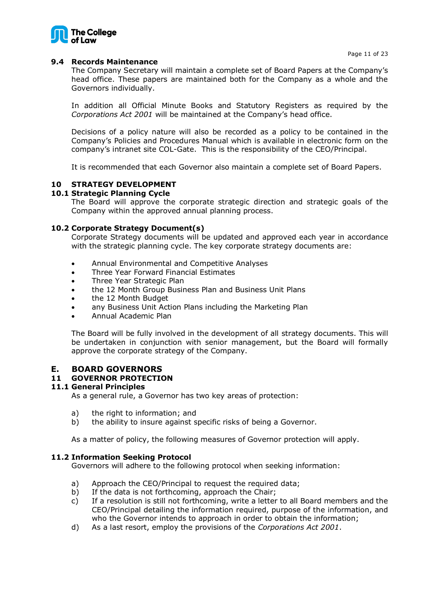

# <span id="page-10-0"></span>**9.4 Records Maintenance**

The Company Secretary will maintain a complete set of Board Papers at the Company's head office. These papers are maintained both for the Company as a whole and the Governors individually.

In addition all Official Minute Books and Statutory Registers as required by the *Corporations Act 2001* will be maintained at the Company's head office.

Decisions of a policy nature will also be recorded as a policy to be contained in the Company's Policies and Procedures Manual which is available in electronic form on the company's intranet site COL-Gate. This is the responsibility of the CEO/Principal.

It is recommended that each Governor also maintain a complete set of Board Papers.

# <span id="page-10-1"></span>**10 STRATEGY DEVELOPMENT**

# <span id="page-10-2"></span>**10.1 Strategic Planning Cycle**

The Board will approve the corporate strategic direction and strategic goals of the Company within the approved annual planning process.

# <span id="page-10-3"></span>**10.2 Corporate Strategy Document(s)**

Corporate Strategy documents will be updated and approved each year in accordance with the strategic planning cycle. The key corporate strategy documents are:

- Annual Environmental and Competitive Analyses
- Three Year Forward Financial Estimates
- Three Year Strategic Plan
- the 12 Month Group Business Plan and Business Unit Plans
- the 12 Month Budget
- any Business Unit Action Plans including the Marketing Plan
- Annual Academic Plan

The Board will be fully involved in the development of all strategy documents. This will be undertaken in conjunction with senior management, but the Board will formally approve the corporate strategy of the Company.

# <span id="page-10-4"></span>**E. BOARD GOVERNORS**

# <span id="page-10-5"></span>**11 GOVERNOR PROTECTION**

# <span id="page-10-6"></span>**11.1 General Principles**

As a general rule, a Governor has two key areas of protection:

- a) the right to information; and
- b) the ability to insure against specific risks of being a Governor.

As a matter of policy, the following measures of Governor protection will apply.

# <span id="page-10-7"></span>**11.2 Information Seeking Protocol**

Governors will adhere to the following protocol when seeking information:

- a) Approach the CEO/Principal to request the required data;
- b) If the data is not forthcoming, approach the Chair;
- c) If a resolution is still not forthcoming, write a letter to all Board members and the CEO/Principal detailing the information required, purpose of the information, and who the Governor intends to approach in order to obtain the information;
- d) As a last resort, employ the provisions of the *Corporations Act 2001*.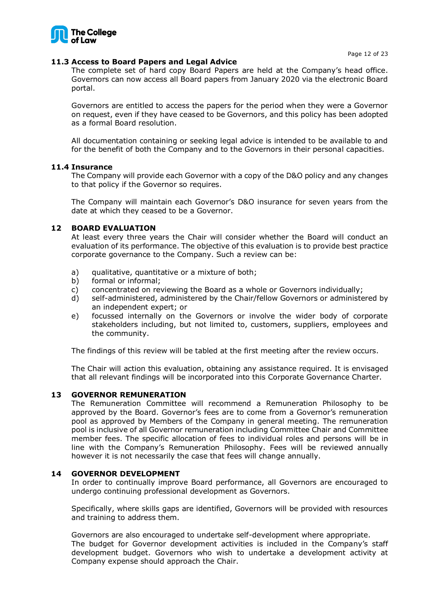

#### <span id="page-11-0"></span>**11.3 Access to Board Papers and Legal Advice**

The complete set of hard copy Board Papers are held at the Company's head office. Governors can now access all Board papers from January 2020 via the electronic Board portal.

Governors are entitled to access the papers for the period when they were a Governor on request, even if they have ceased to be Governors, and this policy has been adopted as a formal Board resolution.

All documentation containing or seeking legal advice is intended to be available to and for the benefit of both the Company and to the Governors in their personal capacities.

#### <span id="page-11-1"></span>**11.4 Insurance**

The Company will provide each Governor with a copy of the D&O policy and any changes to that policy if the Governor so requires.

The Company will maintain each Governor's D&O insurance for seven years from the date at which they ceased to be a Governor.

#### <span id="page-11-2"></span>**12 BOARD EVALUATION**

At least every three years the Chair will consider whether the Board will conduct an evaluation of its performance. The objective of this evaluation is to provide best practice corporate governance to the Company. Such a review can be:

- a) qualitative, quantitative or a mixture of both;
- b) formal or informal;
- c) concentrated on reviewing the Board as a whole or Governors individually;
- d) self-administered, administered by the Chair/fellow Governors or administered by an independent expert; or
- e) focussed internally on the Governors or involve the wider body of corporate stakeholders including, but not limited to, customers, suppliers, employees and the community.

The findings of this review will be tabled at the first meeting after the review occurs.

The Chair will action this evaluation, obtaining any assistance required. It is envisaged that all relevant findings will be incorporated into this Corporate Governance Charter.

#### <span id="page-11-3"></span>**13 GOVERNOR REMUNERATION**

The Remuneration Committee will recommend a Remuneration Philosophy to be approved by the Board. Governor's fees are to come from a Governor's remuneration pool as approved by Members of the Company in general meeting. The remuneration pool is inclusive of all Governor remuneration including Committee Chair and Committee member fees. The specific allocation of fees to individual roles and persons will be in line with the Company's Remuneration Philosophy. Fees will be reviewed annually however it is not necessarily the case that fees will change annually.

#### <span id="page-11-4"></span>**14 GOVERNOR DEVELOPMENT**

In order to continually improve Board performance, all Governors are encouraged to undergo continuing professional development as Governors.

Specifically, where skills gaps are identified, Governors will be provided with resources and training to address them.

Governors are also encouraged to undertake self-development where appropriate. The budget for Governor development activities is included in the Company's staff development budget. Governors who wish to undertake a development activity at Company expense should approach the Chair.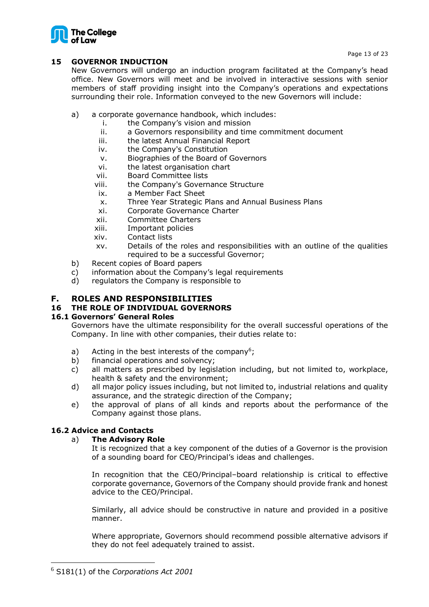

# <span id="page-12-0"></span>**15 GOVERNOR INDUCTION**

New Governors will undergo an induction program facilitated at the Company's head office. New Governors will meet and be involved in interactive sessions with senior members of staff providing insight into the Company's operations and expectations surrounding their role. Information conveyed to the new Governors will include:

- a) a corporate governance handbook, which includes:
	- i. the Company's vision and mission
	- ii. a Governors responsibility and time commitment document
	- iii. the latest Annual Financial Report
	- iv. the Company's Constitution
	- v. Biographies of the Board of Governors
	- vi. the latest organisation chart
	- vii. Board Committee lists
	- viii. the Company's Governance Structure
	- ix. a Member Fact Sheet
	- x. Three Year Strategic Plans and Annual Business Plans
	- xi. Corporate Governance Charter
	- xii. Committee Charters
	- xiii. Important policies
	- xiv. Contact lists
	- xv. Details of the roles and responsibilities with an outline of the qualities required to be a successful Governor;
- b) Recent copies of Board papers
- c) information about the Company's legal requirements
- d) regulators the Company is responsible to

# <span id="page-12-1"></span>**F. ROLES AND RESPONSIBILITIES**

# <span id="page-12-2"></span>**16 THE ROLE OF INDIVIDUAL GOVERNORS**

# <span id="page-12-3"></span>**16.1 Governors' General Roles**

Governors have the ultimate responsibility for the overall successful operations of the Company. In line with other companies, their duties relate to:

- a) Acting in the best interests of the company<sup>6</sup>;
- b) financial operations and solvency;
- c) all matters as prescribed by legislation including, but not limited to, workplace, health & safety and the environment;
- d) all major policy issues including, but not limited to, industrial relations and quality assurance, and the strategic direction of the Company;
- e) the approval of plans of all kinds and reports about the performance of the Company against those plans.

# <span id="page-12-4"></span>**16.2 Advice and Contacts**

# a) **The Advisory Role**

It is recognized that a key component of the duties of a Governor is the provision of a sounding board for CEO/Principal's ideas and challenges.

In recognition that the CEO/Principal–board relationship is critical to effective corporate governance, Governors of the Company should provide frank and honest advice to the CEO/Principal.

Similarly, all advice should be constructive in nature and provided in a positive manner.

Where appropriate, Governors should recommend possible alternative advisors if they do not feel adequately trained to assist.

<sup>6</sup> S181(1) of the *Corporations Act 2001*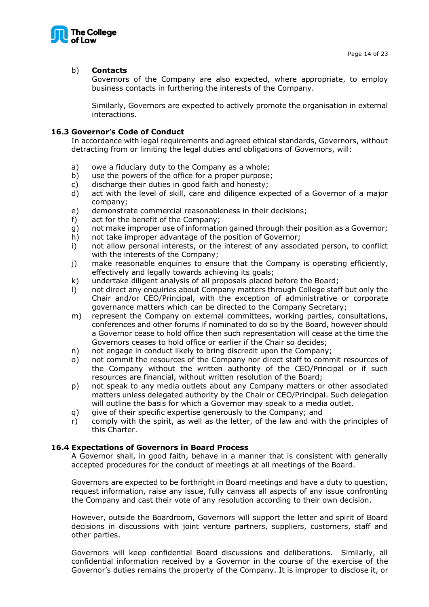

# b) **Contacts**

Governors of the Company are also expected, where appropriate, to employ business contacts in furthering the interests of the Company.

Similarly, Governors are expected to actively promote the organisation in external interactions.

# <span id="page-13-0"></span>**16.3 Governor's Code of Conduct**

In accordance with legal requirements and agreed ethical standards, Governors, without detracting from or limiting the legal duties and obligations of Governors, will:

- a) owe a fiduciary duty to the Company as a whole;
- b) use the powers of the office for a proper purpose;
- c) discharge their duties in good faith and honesty;
- d) act with the level of skill, care and diligence expected of a Governor of a major company;
- e) demonstrate commercial reasonableness in their decisions;
- f) act for the benefit of the Company;
- g) not make improper use of information gained through their position as a Governor;
- h) not take improper advantage of the position of Governor;
- i) not allow personal interests, or the interest of any associated person, to conflict with the interests of the Company;
- j) make reasonable enquiries to ensure that the Company is operating efficiently, effectively and legally towards achieving its goals;
- k) undertake diligent analysis of all proposals placed before the Board;
- l) not direct any enquiries about Company matters through College staff but only the Chair and/or CEO/Principal, with the exception of administrative or corporate governance matters which can be directed to the Company Secretary;
- m) represent the Company on external committees, working parties, consultations, conferences and other forums if nominated to do so by the Board, however should a Governor cease to hold office then such representation will cease at the time the Governors ceases to hold office or earlier if the Chair so decides;
- n) not engage in conduct likely to bring discredit upon the Company;
- o) not commit the resources of the Company nor direct staff to commit resources of the Company without the written authority of the CEO/Principal or if such resources are financial, without written resolution of the Board;
- p) not speak to any media outlets about any Company matters or other associated matters unless delegated authority by the Chair or CEO/Principal. Such delegation will outline the basis for which a Governor may speak to a media outlet.
- q) give of their specific expertise generously to the Company; and
- r) comply with the spirit, as well as the letter, of the law and with the principles of this Charter.

# <span id="page-13-1"></span>**16.4 Expectations of Governors in Board Process**

A Governor shall, in good faith, behave in a manner that is consistent with generally accepted procedures for the conduct of meetings at all meetings of the Board.

Governors are expected to be forthright in Board meetings and have a duty to question, request information, raise any issue, fully canvass all aspects of any issue confronting the Company and cast their vote of any resolution according to their own decision.

However, outside the Boardroom, Governors will support the letter and spirit of Board decisions in discussions with joint venture partners, suppliers, customers, staff and other parties.

Governors will keep confidential Board discussions and deliberations. Similarly, all confidential information received by a Governor in the course of the exercise of the Governor's duties remains the property of the Company. It is improper to disclose it, or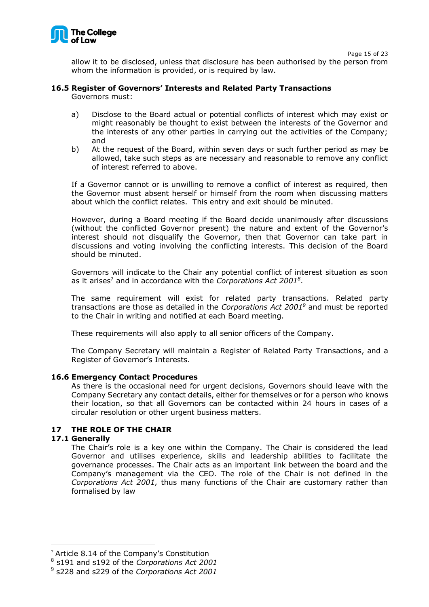

Page 15 of 23

allow it to be disclosed, unless that disclosure has been authorised by the person from whom the information is provided, or is required by law.

# <span id="page-14-0"></span>**16.5 Register of Governors' Interests and Related Party Transactions**

Governors must:

- a) Disclose to the Board actual or potential conflicts of interest which may exist or might reasonably be thought to exist between the interests of the Governor and the interests of any other parties in carrying out the activities of the Company; and
- b) At the request of the Board, within seven days or such further period as may be allowed, take such steps as are necessary and reasonable to remove any conflict of interest referred to above.

If a Governor cannot or is unwilling to remove a conflict of interest as required, then the Governor must absent herself or himself from the room when discussing matters about which the conflict relates. This entry and exit should be minuted.

However, during a Board meeting if the Board decide unanimously after discussions (without the conflicted Governor present) the nature and extent of the Governor's interest should not disqualify the Governor, then that Governor can take part in discussions and voting involving the conflicting interests. This decision of the Board should be minuted.

Governors will indicate to the Chair any potential conflict of interest situation as soon as it arises<sup>7</sup> and in accordance with the *Corporations Act 2001*<sup>8</sup>.

The same requirement will exist for related party transactions. Related party transactions are those as detailed in the *Corporations Act 2001<sup>9</sup>* and must be reported to the Chair in writing and notified at each Board meeting.

These requirements will also apply to all senior officers of the Company.

The Company Secretary will maintain a Register of Related Party Transactions, and a Register of Governor's Interests.

# <span id="page-14-1"></span>**16.6 Emergency Contact Procedures**

As there is the occasional need for urgent decisions, Governors should leave with the Company Secretary any contact details, either for themselves or for a person who knows their location, so that all Governors can be contacted within 24 hours in cases of a circular resolution or other urgent business matters.

# <span id="page-14-2"></span>**17 THE ROLE OF THE CHAIR**

# <span id="page-14-3"></span>**17.1 Generally**

The Chair's role is a key one within the Company. The Chair is considered the lead Governor and utilises experience, skills and leadership abilities to facilitate the governance processes. The Chair acts as an important link between the board and the Company's management via the CEO. The role of the Chair is not defined in the *Corporations Act 2001,* thus many functions of the Chair are customary rather than formalised by law

 $7$  Article 8.14 of the Company's Constitution

<sup>8</sup> s191 and s192 of the *Corporations Act 2001*

<sup>9</sup> s228 and s229 of the *Corporations Act 2001*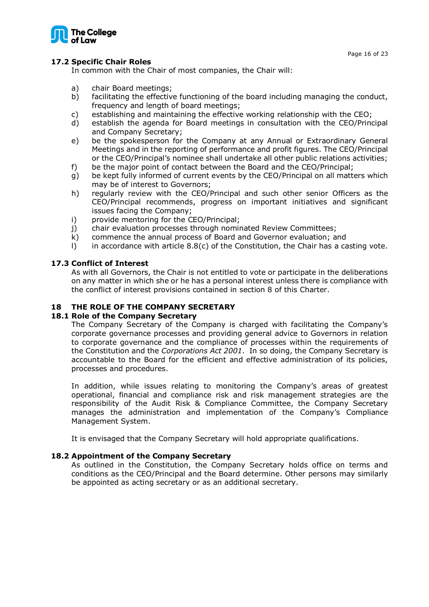

# <span id="page-15-0"></span>**17.2 Specific Chair Roles**

In common with the Chair of most companies, the Chair will:

- a) chair Board meetings;
- b) facilitating the effective functioning of the board including managing the conduct, frequency and length of board meetings;
- c) establishing and maintaining the effective working relationship with the CEO;
- d) establish the agenda for Board meetings in consultation with the CEO/Principal and Company Secretary;
- e) be the spokesperson for the Company at any Annual or Extraordinary General Meetings and in the reporting of performance and profit figures. The CEO/Principal or the CEO/Principal's nominee shall undertake all other public relations activities;
- f) be the major point of contact between the Board and the CEO/Principal;
- g) be kept fully informed of current events by the CEO/Principal on all matters which may be of interest to Governors;
- h) regularly review with the CEO/Principal and such other senior Officers as the CEO/Principal recommends, progress on important initiatives and significant issues facing the Company;
- i) provide mentoring for the CEO/Principal;
- j) chair evaluation processes through nominated Review Committees;
- k) commence the annual process of Board and Governor evaluation; and
- l) in accordance with article 8.8(c) of the Constitution, the Chair has a casting vote.

# <span id="page-15-1"></span>**17.3 Conflict of Interest**

As with all Governors, the Chair is not entitled to vote or participate in the deliberations on any matter in which she or he has a personal interest unless there is compliance with the conflict of interest provisions contained in section 8 of this Charter.

# <span id="page-15-2"></span>**18 THE ROLE OF THE COMPANY SECRETARY**

# <span id="page-15-3"></span>**18.1 Role of the Company Secretary**

The Company Secretary of the Company is charged with facilitating the Company's corporate governance processes and providing general advice to Governors in relation to corporate governance and the compliance of processes within the requirements of the Constitution and the *Corporations Act 2001*. In so doing, the Company Secretary is accountable to the Board for the efficient and effective administration of its policies, processes and procedures.

In addition, while issues relating to monitoring the Company's areas of greatest operational, financial and compliance risk and risk management strategies are the responsibility of the Audit Risk & Compliance Committee, the Company Secretary manages the administration and implementation of the Company's Compliance Management System.

It is envisaged that the Company Secretary will hold appropriate qualifications.

# <span id="page-15-4"></span>**18.2 Appointment of the Company Secretary**

As outlined in the Constitution, the Company Secretary holds office on terms and conditions as the CEO/Principal and the Board determine. Other persons may similarly be appointed as acting secretary or as an additional secretary.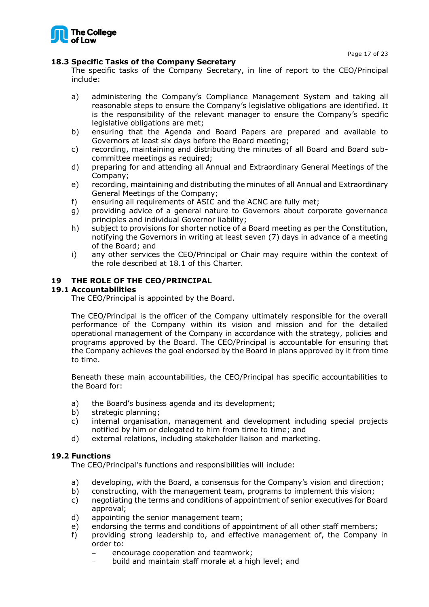

# <span id="page-16-0"></span>**18.3 Specific Tasks of the Company Secretary**

The specific tasks of the Company Secretary, in line of report to the CEO/Principal include:

- a) administering the Company's Compliance Management System and taking all reasonable steps to ensure the Company's legislative obligations are identified. It is the responsibility of the relevant manager to ensure the Company's specific legislative obligations are met;
- b) ensuring that the Agenda and Board Papers are prepared and available to Governors at least six days before the Board meeting;
- c) recording, maintaining and distributing the minutes of all Board and Board subcommittee meetings as required;
- d) preparing for and attending all Annual and Extraordinary General Meetings of the Company;
- e) recording, maintaining and distributing the minutes of all Annual and Extraordinary General Meetings of the Company;
- f) ensuring all requirements of ASIC and the ACNC are fully met;
- g) providing advice of a general nature to Governors about corporate governance principles and individual Governor liability;
- h) subject to provisions for shorter notice of a Board meeting as per the Constitution, notifying the Governors in writing at least seven (7) days in advance of a meeting of the Board; and
- i) any other services the CEO/Principal or Chair may require within the context of the role described at 18.1 of this Charter.

# <span id="page-16-1"></span>**19 THE ROLE OF THE CEO/PRINCIPAL**

# <span id="page-16-2"></span>**19.1 Accountabilities**

The CEO/Principal is appointed by the Board.

The CEO/Principal is the officer of the Company ultimately responsible for the overall performance of the Company within its vision and mission and for the detailed operational management of the Company in accordance with the strategy, policies and programs approved by the Board. The CEO/Principal is accountable for ensuring that the Company achieves the goal endorsed by the Board in plans approved by it from time to time.

Beneath these main accountabilities, the CEO/Principal has specific accountabilities to the Board for:

- a) the Board's business agenda and its development;
- b) strategic planning;
- c) internal organisation, management and development including special projects notified by him or delegated to him from time to time; and
- d) external relations, including stakeholder liaison and marketing.

# <span id="page-16-3"></span>**19.2 Functions**

The CEO/Principal's functions and responsibilities will include:

- a) developing, with the Board, a consensus for the Company's vision and direction;
- b) constructing, with the management team, programs to implement this vision;
- c) negotiating the terms and conditions of appointment of senior executives for Board approval;
- d) appointing the senior management team;
- e) endorsing the terms and conditions of appointment of all other staff members;
- f) providing strong leadership to, and effective management of, the Company in order to:
	- encourage cooperation and teamwork;
	- − build and maintain staff morale at a high level; and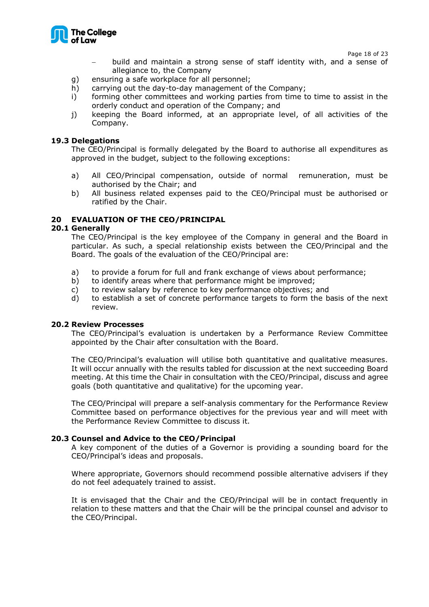

Page 18 of 23

- − build and maintain a strong sense of staff identity with, and a sense of allegiance to, the Company
- g) ensuring a safe workplace for all personnel;
- h) carrying out the day-to-day management of the Company;
- i) forming other committees and working parties from time to time to assist in the orderly conduct and operation of the Company; and
- j) keeping the Board informed, at an appropriate level, of all activities of the Company.

#### <span id="page-17-0"></span>**19.3 Delegations**

The CEO/Principal is formally delegated by the Board to authorise all expenditures as approved in the budget, subject to the following exceptions:

- a) All CEO/Principal compensation, outside of normal remuneration, must be authorised by the Chair; and
- b) All business related expenses paid to the CEO/Principal must be authorised or ratified by the Chair.

# <span id="page-17-1"></span>**20 EVALUATION OF THE CEO/PRINCIPAL**

#### <span id="page-17-2"></span>**20.1 Generally**

The CEO/Principal is the key employee of the Company in general and the Board in particular. As such, a special relationship exists between the CEO/Principal and the Board. The goals of the evaluation of the CEO/Principal are:

- a) to provide a forum for full and frank exchange of views about performance;
- b) to identify areas where that performance might be improved;
- c) to review salary by reference to key performance objectives; and
- d) to establish a set of concrete performance targets to form the basis of the next review.

#### <span id="page-17-3"></span>**20.2 Review Processes**

The CEO/Principal's evaluation is undertaken by a Performance Review Committee appointed by the Chair after consultation with the Board.

The CEO/Principal's evaluation will utilise both quantitative and qualitative measures. It will occur annually with the results tabled for discussion at the next succeeding Board meeting. At this time the Chair in consultation with the CEO/Principal, discuss and agree goals (both quantitative and qualitative) for the upcoming year.

The CEO/Principal will prepare a self-analysis commentary for the Performance Review Committee based on performance objectives for the previous year and will meet with the Performance Review Committee to discuss it.

#### <span id="page-17-4"></span>**20.3 Counsel and Advice to the CEO/Principal**

A key component of the duties of a Governor is providing a sounding board for the CEO/Principal's ideas and proposals.

Where appropriate, Governors should recommend possible alternative advisers if they do not feel adequately trained to assist.

It is envisaged that the Chair and the CEO/Principal will be in contact frequently in relation to these matters and that the Chair will be the principal counsel and advisor to the CEO/Principal.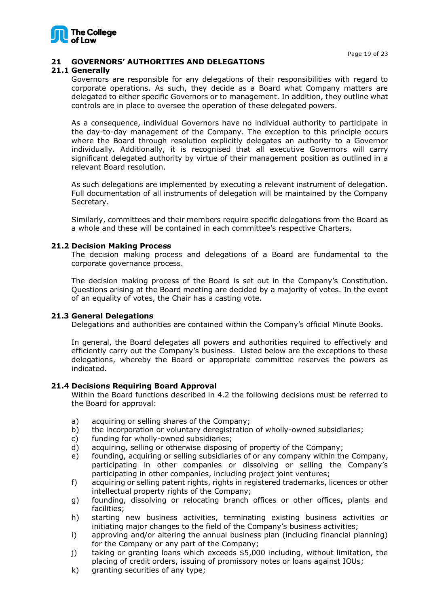

# <span id="page-18-0"></span>**21 GOVERNORS' AUTHORITIES AND DELEGATIONS**

# <span id="page-18-1"></span>**21.1 Generally**

Governors are responsible for any delegations of their responsibilities with regard to corporate operations. As such, they decide as a Board what Company matters are delegated to either specific Governors or to management. In addition, they outline what controls are in place to oversee the operation of these delegated powers.

As a consequence, individual Governors have no individual authority to participate in the day-to-day management of the Company. The exception to this principle occurs where the Board through resolution explicitly delegates an authority to a Governor individually. Additionally, it is recognised that all executive Governors will carry significant delegated authority by virtue of their management position as outlined in a relevant Board resolution.

As such delegations are implemented by executing a relevant instrument of delegation. Full documentation of all instruments of delegation will be maintained by the Company Secretary.

Similarly, committees and their members require specific delegations from the Board as a whole and these will be contained in each committee's respective Charters.

#### <span id="page-18-2"></span>**21.2 Decision Making Process**

The decision making process and delegations of a Board are fundamental to the corporate governance process.

The decision making process of the Board is set out in the Company's Constitution. Questions arising at the Board meeting are decided by a majority of votes. In the event of an equality of votes, the Chair has a casting vote.

#### <span id="page-18-3"></span>**21.3 General Delegations**

Delegations and authorities are contained within the Company's official Minute Books.

In general, the Board delegates all powers and authorities required to effectively and efficiently carry out the Company's business. Listed below are the exceptions to these delegations, whereby the Board or appropriate committee reserves the powers as indicated.

#### <span id="page-18-4"></span>**21.4 Decisions Requiring Board Approval**

Within the Board functions described in 4.2 the following decisions must be referred to the Board for approval:

- a) acquiring or selling shares of the Company;
- b) the incorporation or voluntary deregistration of wholly-owned subsidiaries;
- c) funding for wholly-owned subsidiaries;
- d) acquiring, selling or otherwise disposing of property of the Company;
- e) founding, acquiring or selling subsidiaries of or any company within the Company, participating in other companies or dissolving or selling the Company's participating in other companies, including project joint ventures;
- f) acquiring or selling patent rights, rights in registered trademarks, licences or other intellectual property rights of the Company;
- g) founding, dissolving or relocating branch offices or other offices, plants and facilities;
- h) starting new business activities, terminating existing business activities or initiating major changes to the field of the Company's business activities;
- i) approving and/or altering the annual business plan (including financial planning) for the Company or any part of the Company;
- j) taking or granting loans which exceeds \$5,000 including, without limitation, the placing of credit orders, issuing of promissory notes or loans against IOUs;
- k) granting securities of any type;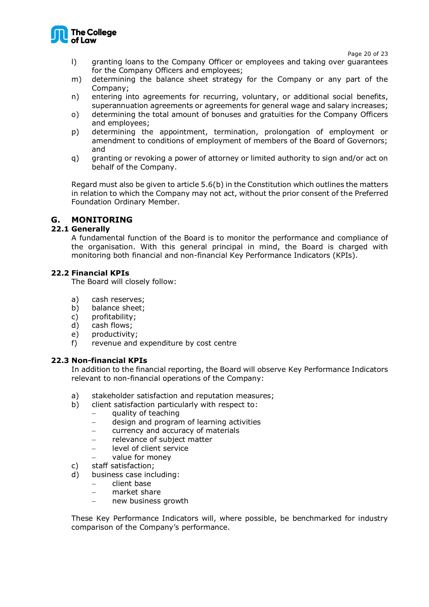

Page 20 of 23

- l) granting loans to the Company Officer or employees and taking over guarantees for the Company Officers and employees;
- m) determining the balance sheet strategy for the Company or any part of the Company;
- n) entering into agreements for recurring, voluntary, or additional social benefits, superannuation agreements or agreements for general wage and salary increases;
- o) determining the total amount of bonuses and gratuities for the Company Officers and employees;
- p) determining the appointment, termination, prolongation of employment or amendment to conditions of employment of members of the Board of Governors; and
- q) granting or revoking a power of attorney or limited authority to sign and/or act on behalf of the Company.

Regard must also be given to article 5.6(b) in the Constitution which outlines the matters in relation to which the Company may not act, without the prior consent of the Preferred Foundation Ordinary Member.

# <span id="page-19-0"></span>**G. MONITORING**

# <span id="page-19-1"></span>**22.1 Generally**

A fundamental function of the Board is to monitor the performance and compliance of the organisation. With this general principal in mind, the Board is charged with monitoring both financial and non-financial Key Performance Indicators (KPIs).

# <span id="page-19-2"></span>**22.2 Financial KPIs**

The Board will closely follow:

- a) cash reserves;
- b) balance sheet;
- c) profitability;
- d) cash flows;
- e) productivity;
- f) revenue and expenditure by cost centre

# <span id="page-19-3"></span>**22.3 Non-financial KPIs**

In addition to the financial reporting, the Board will observe Key Performance Indicators relevant to non-financial operations of the Company:

- a) stakeholder satisfaction and reputation measures;
- b) client satisfaction particularly with respect to:
	- − quality of teaching
	- − design and program of learning activities
	- currency and accuracy of materials
	- − relevance of subject matter
	- level of client service
	- value for money
- c) staff satisfaction;
- d) business case including:
	- − client base
	- − market share
	- new business growth

These Key Performance Indicators will, where possible, be benchmarked for industry comparison of the Company's performance.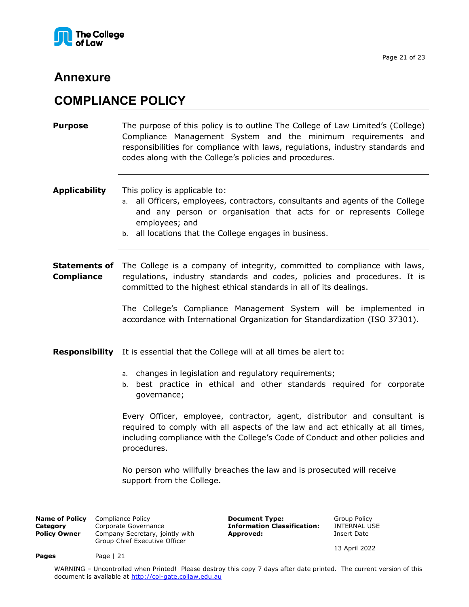

# **Annexure**

# <span id="page-20-0"></span>**COMPLIANCE POLICY**

<span id="page-20-1"></span>**Purpose** The purpose of this policy is to outline The College of Law Limited's (College) Compliance Management System and the minimum requirements and responsibilities for compliance with laws, regulations, industry standards and codes along with the College's policies and procedures.

**Applicability** This policy is applicable to:

- a. all Officers, employees, contractors, consultants and agents of the College and any person or organisation that acts for or represents College employees; and
- b. all locations that the College engages in business.

**Statements of** The College is a company of integrity, committed to compliance with laws, **Compliance** regulations, industry standards and codes, policies and procedures. It is committed to the highest ethical standards in all of its dealings.

> The College's Compliance Management System will be implemented in accordance with International Organization for Standardization (ISO 37301).

**Responsibility** It is essential that the College will at all times be alert to:

- a. changes in legislation and regulatory requirements;
- b. best practice in ethical and other standards required for corporate governance;

Every Officer, employee, contractor, agent, distributor and consultant is required to comply with all aspects of the law and act ethically at all times, including compliance with the College's Code of Conduct and other policies and procedures.

No person who willfully breaches the law and is prosecuted will receive support from the College.

**Name of Policy** Compliance Policy **Cameled Computer Construct Type:** Group Policy Category Corporate Governance **Computer Constructed Construct Construct** Corporate Governance **Computer Construction Classification:** INTER **Category Corporate Governance <b>Information Classification: Policy Owner** Company Secretary, jointly with Group Chief Executive Officer

Pages Page | 21

**Approved:** Insert Date

13 April 2022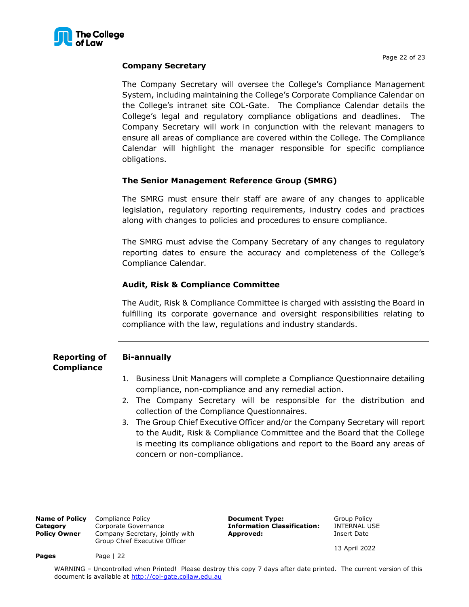

# **Company Secretary**

The Company Secretary will oversee the College's Compliance Management System, including maintaining the College's Corporate Compliance Calendar on the College's intranet site COL-Gate. The Compliance Calendar details the College's legal and regulatory compliance obligations and deadlines. The Company Secretary will work in conjunction with the relevant managers to ensure all areas of compliance are covered within the College. The Compliance Calendar will highlight the manager responsible for specific compliance obligations.

# **The Senior Management Reference Group (SMRG)**

The SMRG must ensure their staff are aware of any changes to applicable legislation, regulatory reporting requirements, industry codes and practices along with changes to policies and procedures to ensure compliance.

The SMRG must advise the Company Secretary of any changes to regulatory reporting dates to ensure the accuracy and completeness of the College's Compliance Calendar.

# **Audit, Risk & Compliance Committee**

The Audit, Risk & Compliance Committee is charged with assisting the Board in fulfilling its corporate governance and oversight responsibilities relating to compliance with the law, regulations and industry standards.

#### **Reporting of Compliance Bi-annually**

- 1. Business Unit Managers will complete a Compliance Questionnaire detailing compliance, non-compliance and any remedial action.
- 2. The Company Secretary will be responsible for the distribution and collection of the Compliance Questionnaires.
- 3. The Group Chief Executive Officer and/or the Company Secretary will report to the Audit, Risk & Compliance Committee and the Board that the College is meeting its compliance obligations and report to the Board any areas of concern or non-compliance.

| <b>Name of Policy</b> | Compliance Policy                                                |  |  |  |  |  |
|-----------------------|------------------------------------------------------------------|--|--|--|--|--|
| Category              | Corporate Governance                                             |  |  |  |  |  |
| <b>Policy Owner</b>   | Company Secretary, jointly with<br>Group Chief Executive Officer |  |  |  |  |  |

**Pages** Page | 22

**Document Type:** Group Policy<br> **Information Classification:** INTERNAL USE **Information Classification: Approved:** Insert Date

13 April 2022